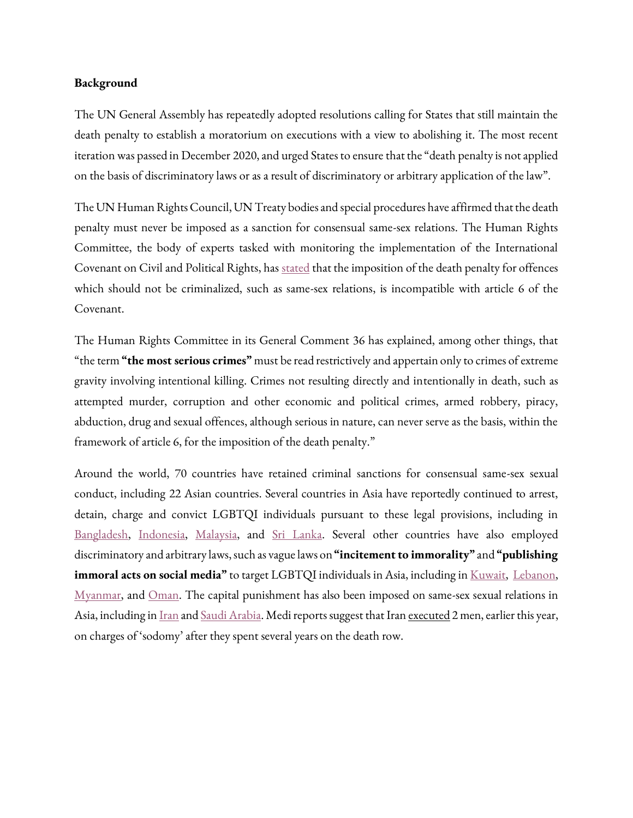## **Background**

The UN General Assembly has repeatedly adopted resolutions calling for States that still maintain the death penalty to establish a moratorium on executions with a view to abolishing it. The most recent iteration was passed in December 2020, and urged States to ensure that the "death penalty is not applied on the basis of discriminatory laws or as a result of discriminatory or arbitrary application of the law".

The UN Human Rights Council, UN Treaty bodies and special procedures have affirmed that the death penalty must never be imposed as a sanction for consensual same-sex relations. The Human Rights Committee, the body of experts tasked with monitoring the implementation of the International Covenant on Civil and Political Rights, has [stated](https://digitallibrary.un.org/record/606085?ln=en) that the imposition of the death penalty for offences which should not be criminalized, such as same-sex relations, is incompatible with article 6 of the Covenant.

The Human Rights Committee in its General Comment 36 has explained, among other things, that "the term **"the most serious crimes"** must be read restrictively and appertain only to crimes of extreme gravity involving intentional killing. Crimes not resulting directly and intentionally in death, such as attempted murder, corruption and other economic and political crimes, armed robbery, piracy, abduction, drug and sexual offences, although serious in nature, can never serve as the basis, within the framework of article 6, for the imposition of the death penalty."

Around the world, 70 countries have retained criminal sanctions for consensual same-sex sexual conduct, including 22 Asian countries. Several countries in Asia have reportedly continued to arrest, detain, charge and convict LGBTQI individuals pursuant to these legal provisions, including in [Bangladesh,](https://ilga.org/downloads/Our_Identities_Under_Arrest_2021.pdf) [Indonesia,](https://coconuts.co/jakarta/news/indonesian-soldier-gets-6-months-in-prison-over-gay-sex/) [Malaysia,](https://www.openlynews.com/i/?id=153890a9-5004-43f8-a76e-1803915796d5&fbclid=IwAR3eXpscjoW0fpRakOoT9Wy3Cz-S7DxauuF8yIrbP9PBmFdcmRf97632pVw) and [Sri Lanka.](https://groundviews.org/2020/10/22/arrests-and-harassment-of-lgbtiq-persons/) Several other countries have also employed discriminatory and arbitrary laws, such as vague laws on **"incitement to immorality"** and **"publishing immoral acts on social media"** to target LGBTQI individuals in Asia, including in *Kuwait*, *Lebanon*, [Myanmar,](https://can-myanmar.org/wp-content/uploads/2020/07/CAN_VNR_SpotlightReport_Final.pdf) and [Oman.](https://en.royanews.tv/news/15200/Playing-dress-up--Four-cross-dressers-jailed-in-Oman) The capital punishment has also been imposed on same-sex sexual relations in Asia, including in <u>Iran</u> and <u>Saudi Arabia</u>. Medi reports suggest that Iran <u>executed</u> 2 men, earlier this year, on charges of 'sodomy' after they spent several years on the death row.